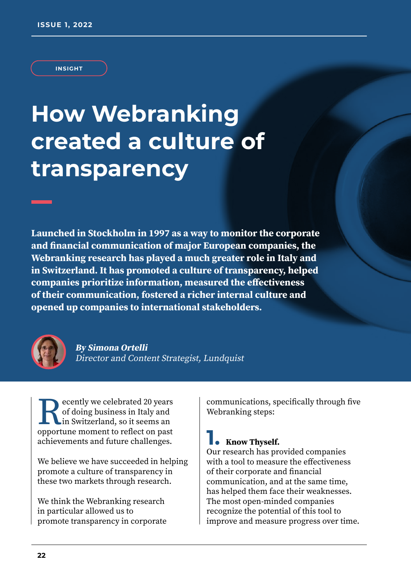#### **INSIGHT**

# **How Webranking created a culture of transparency**

**Launched in Stockholm in 1997 as a way to monitor the corporate and financial communication of major European companies, the Webranking research has played a much greater role in Italy and in Switzerland. It has promoted a culture of transparency, helped companies prioritize information, measured the effectiveness of their communication, fostered a richer internal culture and opened up companies to international stakeholders.**



**By Simona Ortelli** Director and Content Strategist, Lundquist

**Recently we celebrated 20 years of doing business in Italy and in Switzerland, so it seems an opportune moment to reflect on past** of doing business in Italy and in Switzerland, so it seems an achievements and future challenges.

We believe we have succeeded in helping promote a culture of transparency in these two markets through research.

We think the Webranking research in particular allowed us to promote transparency in corporate communications, specifically through five Webranking steps:

### **1. Know Thyself.**

Our research has provided companies with a tool to measure the effectiveness of their corporate and financial communication, and at the same time, has helped them face their weaknesses. The most open-minded companies recognize the potential of this tool to improve and measure progress over time.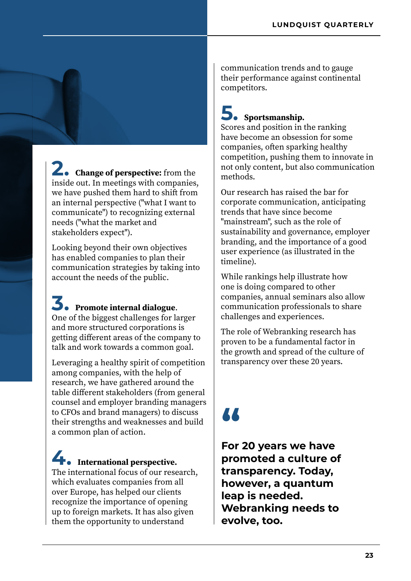**2. Change of perspective:** from the inside out. In meetings with companies, we have pushed them hard to shift from an internal perspective ("what I want to communicate") to recognizing external needs ("what the market and stakeholders expect").

Looking beyond their own objectives has enabled companies to plan their communication strategies by taking into account the needs of the public.

## **3. Promote internal dialogue**.

One of the biggest challenges for larger and more structured corporations is getting different areas of the company to talk and work towards a common goal.

Leveraging a healthy spirit of competition among companies, with the help of research, we have gathered around the table different stakeholders (from general counsel and employer branding managers to CFOs and brand managers) to discuss their strengths and weaknesses and build a common plan of action.

### **4. International perspective.** The international focus of our research, which evaluates companies from all

over Europe, has helped our clients recognize the importance of opening up to foreign markets. It has also given them the opportunity to understand

communication trends and to gauge their performance against continental competitors.

## **5. Sportsmanship.**

Scores and position in the ranking have become an obsession for some companies, often sparking healthy competition, pushing them to innovate in not only content, but also communication methods.

Our research has raised the bar for corporate communication, anticipating trends that have since become "mainstream", such as the role of sustainability and governance, employer branding, and the importance of a good user experience (as illustrated in the timeline).

While rankings help illustrate how one is doing compared to other companies, annual seminars also allow communication professionals to share challenges and experiences.

The role of Webranking research has proven to be a fundamental factor in the growth and spread of the culture of transparency over these 20 years.

# **"**

**For 20 years we have promoted a culture of transparency. Today, however, a quantum leap is needed. Webranking needs to evolve, too.**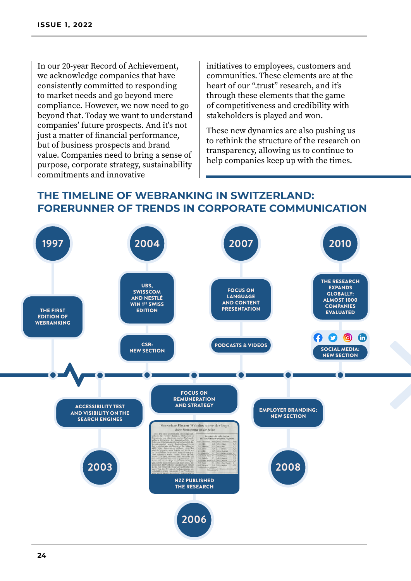In our 20-year Record of Achievement, we acknowledge companies that have consistently committed to responding to market needs and go beyond mere compliance. However, we now need to go beyond that. Today we want to understand companies' future prospects. And it's not just a matter of financial performance, but of business prospects and brand value. Companies need to bring a sense of purpose, corporate strategy, sustainability commitments and innovative

initiatives to employees, customers and communities. These elements are at the heart of our ".trust" research, and it's through these elements that the game of competitiveness and credibility with stakeholders is played and won.

These new dynamics are also pushing us to rethink the structure of the research on transparency, allowing us to continue to help companies keep up with the times.

### **THE TIMELINE OF WEBRANKING IN SWITZERLAND: FORERUNNER OF TRENDS IN CORPORATE COMMUNICATION**